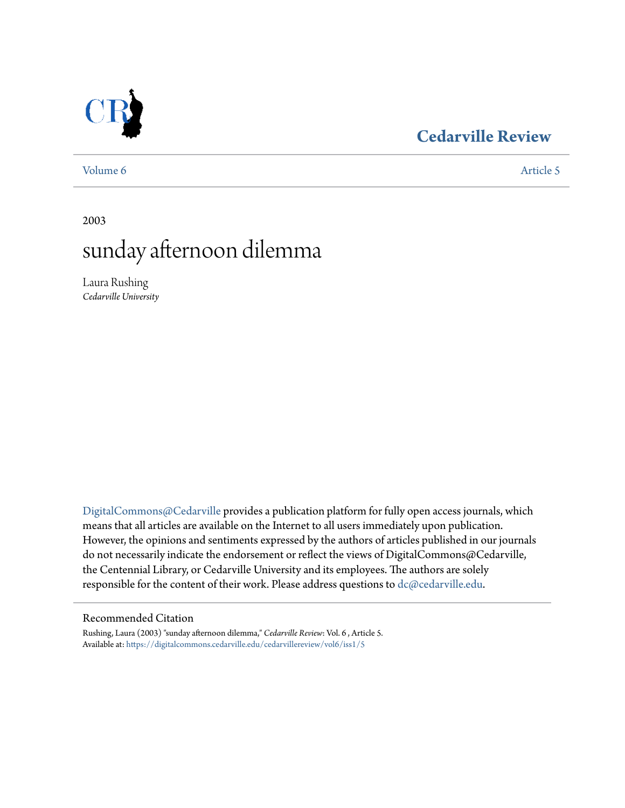### **[Cedarville Review](https://digitalcommons.cedarville.edu/cedarvillereview?utm_source=digitalcommons.cedarville.edu%2Fcedarvillereview%2Fvol6%2Fiss1%2F5&utm_medium=PDF&utm_campaign=PDFCoverPages)**



### [Volume 6](https://digitalcommons.cedarville.edu/cedarvillereview/vol6?utm_source=digitalcommons.cedarville.edu%2Fcedarvillereview%2Fvol6%2Fiss1%2F5&utm_medium=PDF&utm_campaign=PDFCoverPages) [Article 5](https://digitalcommons.cedarville.edu/cedarvillereview/vol6/iss1/5?utm_source=digitalcommons.cedarville.edu%2Fcedarvillereview%2Fvol6%2Fiss1%2F5&utm_medium=PDF&utm_campaign=PDFCoverPages)

2003

# sunday afternoon dilemma

Laura Rushing *Cedarville University*

[DigitalCommons@Cedarville](http://digitalcommons.cedarville.edu) provides a publication platform for fully open access journals, which means that all articles are available on the Internet to all users immediately upon publication. However, the opinions and sentiments expressed by the authors of articles published in our journals do not necessarily indicate the endorsement or reflect the views of DigitalCommons@Cedarville, the Centennial Library, or Cedarville University and its employees. The authors are solely responsible for the content of their work. Please address questions to [dc@cedarville.edu](mailto:dc@cedarville.edu).

#### Recommended Citation

Rushing, Laura (2003) "sunday afternoon dilemma," *Cedarville Review*: Vol. 6 , Article 5. Available at: [https://digitalcommons.cedarville.edu/cedarvillereview/vol6/iss1/5](https://digitalcommons.cedarville.edu/cedarvillereview/vol6/iss1/5?utm_source=digitalcommons.cedarville.edu%2Fcedarvillereview%2Fvol6%2Fiss1%2F5&utm_medium=PDF&utm_campaign=PDFCoverPages)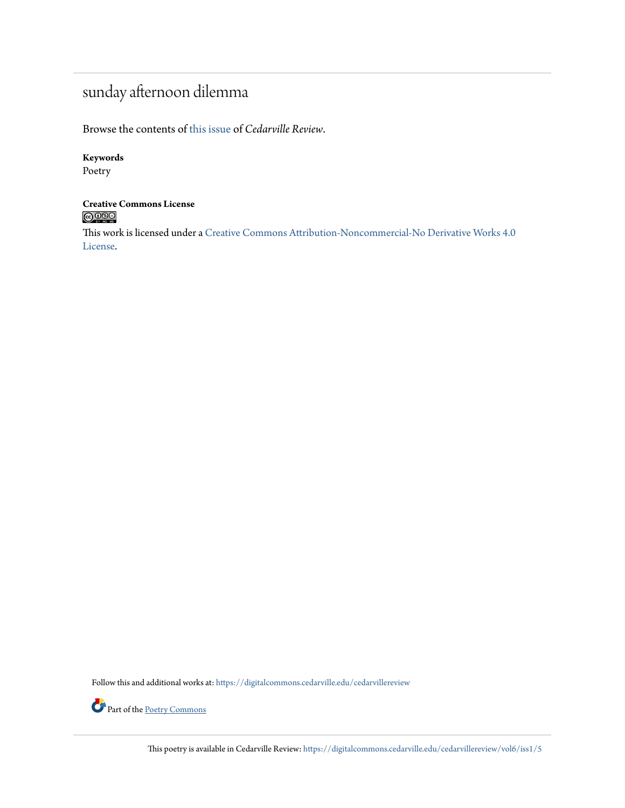## sunday afternoon dilemma

Browse the contents of [this issue](https://digitalcommons.cedarville.edu/cedarvillereview/vol6/iss1) of *Cedarville Review*.

### **Keywords**

Poetry

## **Creative Commons License**<br> **C** 000

This work is licensed under a [Creative Commons Attribution-Noncommercial-No Derivative Works 4.0](http://creativecommons.org/licenses/by-nc-nd/4.0/) [License.](http://creativecommons.org/licenses/by-nc-nd/4.0/)

Follow this and additional works at: [https://digitalcommons.cedarville.edu/cedarvillereview](https://digitalcommons.cedarville.edu/cedarvillereview?utm_source=digitalcommons.cedarville.edu%2Fcedarvillereview%2Fvol6%2Fiss1%2F5&utm_medium=PDF&utm_campaign=PDFCoverPages)



Part of the <u>[Poetry Commons](http://network.bepress.com/hgg/discipline/1153?utm_source=digitalcommons.cedarville.edu%2Fcedarvillereview%2Fvol6%2Fiss1%2F5&utm_medium=PDF&utm_campaign=PDFCoverPages)</u>

This poetry is available in Cedarville Review: [https://digitalcommons.cedarville.edu/cedarvillereview/vol6/iss1/5](https://digitalcommons.cedarville.edu/cedarvillereview/vol6/iss1/5?utm_source=digitalcommons.cedarville.edu%2Fcedarvillereview%2Fvol6%2Fiss1%2F5&utm_medium=PDF&utm_campaign=PDFCoverPages)